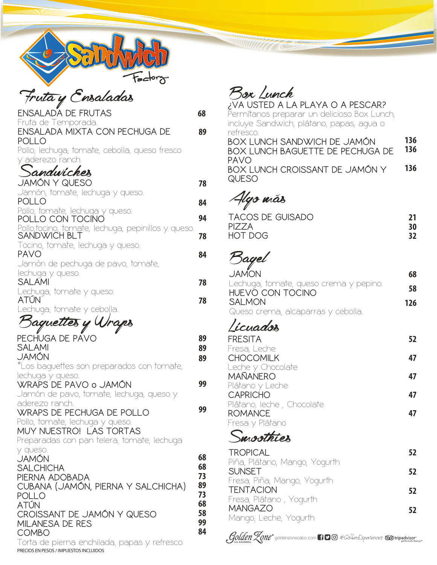|  | sctor, | <b>؉؞</b> |
|--|--------|-----------|

## Fruta y Ensaladas

| ENSALADA DE FRUTAS                                                    | 68       |
|-----------------------------------------------------------------------|----------|
| Fruta de Temporada.<br>ENSALADA MIXTA CON PECHUGA DE                  | 89       |
| POLLO                                                                 |          |
| Pollo, lechuga, tomate, cebolla, queso fresco<br>y aderezo ranch.     |          |
| sandwicher                                                            |          |
| JAMÓN Y QUESO                                                         | 78       |
| Jamón, tomate, lechuga y queso.<br>POLLO                              | 84       |
| Pollo, tomate, lechuga y queso.<br><b>POLLO CON TOCINO</b>            | 94       |
| Pollo,tocino, tomate, lechuga, pepinillos y queso.<br>SANDWICH BLT    |          |
| Tocino, tomate, lechuga y queso.                                      | 78       |
| <b>PAVO</b>                                                           | 84       |
| Jamón de pechuga de pavo, tomate,<br>lechuga y queso.                 |          |
| SALAMI                                                                | 78       |
| Lechuga, tomate y queso.<br>ATÚN                                      | 78       |
| Lechuga, tomate y cebolla.                                            |          |
| Baquettes y Wraps                                                     |          |
| PECHUGA DE PAVO                                                       | 89       |
| SALAMI<br>JAMÓN                                                       | 89<br>89 |
| *Los baquettes son preparados con tomate,                             |          |
| lechuga y queso.<br>WRAPS DE PAVO o JAMÓN                             | 99       |
| Jamón de pavo, tomate, lechuga, queso y                               |          |
| aderezo ranch.<br><b>WRAPS DE PECHUGA DE POLLO</b>                    | 99       |
| Pollo, tomate, lechuga y queso.                                       |          |
| MUY NUESTRO! LAS TORTAS<br>Preparadas con pan telera, tomate, lechuga |          |
| y queso.                                                              |          |
| <b>JAMÓN</b><br><b>SALCHICHA</b>                                      | 68<br>68 |
| PIERNA ADOBADA                                                        | 73       |
| CUBANA (JAMÓN, PIERNA Y SALCHICHA)<br><b>POLLO</b>                    | 89<br>73 |
| <b>ATÚN</b>                                                           | 68       |
| CROISSANT DE JAMÓN Y QUESO<br>MILANESA DE RES                         | 58<br>99 |
| <b>COMBO</b>                                                          | 84       |
| Torta de pierna enchilada, papas y refresco                           |          |

Torta de pierna enchilada, papas y refresco PRECIOS ENPESOS /IMPUESTOS INCLUIDOS

**¿VA USTED A LA PLAYA O A PESCAR?**

Permítanos preparar un delicioso Box Lunch, incluye Sandwich, plátano, papas, agua o refresco. **BOX LUNCH SANDWICH DE JAMÓN BOX LUNCH BAGUETTE DE PECHUGA DE PAVO BOX LUNCH CROISSANT DE JAMÓN Y QUESO 78 136 136 136**

Algo más

| <b>TACOS DE GUISADO</b> |    |
|-------------------------|----|
| PIZZA                   | 30 |
| HOT DOG                 | 32 |

## Bagel

| <b>JAMON</b>                           | 68  |
|----------------------------------------|-----|
| Lechuga, tomate, queso crema y pepino. | 58  |
| HUEVO CON TOCINO                       |     |
| <b>SALMON</b>                          | 126 |
| Queso crema, alcaparras y cebolla.     |     |
|                                        |     |

## Licuados

| <b>FRESITA</b>            | 52. |
|---------------------------|-----|
| Fresa, Leche              |     |
| <b>CHOCOMILK</b>          | 47  |
| Leche y Chocolate         |     |
| <b>MAÑANERO</b>           | 47  |
| Plátano y Leche           |     |
| <b>CAPRICHO</b>           | 47  |
| Plátano, leche, Chocolate |     |
| <b>ROMANCE</b>            | 47  |
| Fresa y Plátano           |     |

## Smoothies

| <b>TROPICAL</b>               | 52 |
|-------------------------------|----|
| Piña, Plátano, Mango, Yogurth |    |
| <b>SUNSET</b>                 | 52 |
| Fresa, Piña, Mango, Yogurth   |    |
| <b>TENTACION</b>              | 52 |
| Fresa, Plátano, Yogurth       |    |
| <b>MANGAZO</b>                |    |
| Mango, Leche, Yogurth         |    |

goldenzonecabo.com  $\bigcap\limits_{\longrightarrow}\bigcap\limits_{\mathcal{O}}\mathcal{F}_{\mathcal{A}}$  and  $\mathcal{F}_{\mathcal{A}}$  and  $\mathcal{F}_{\mathcal{A}}$